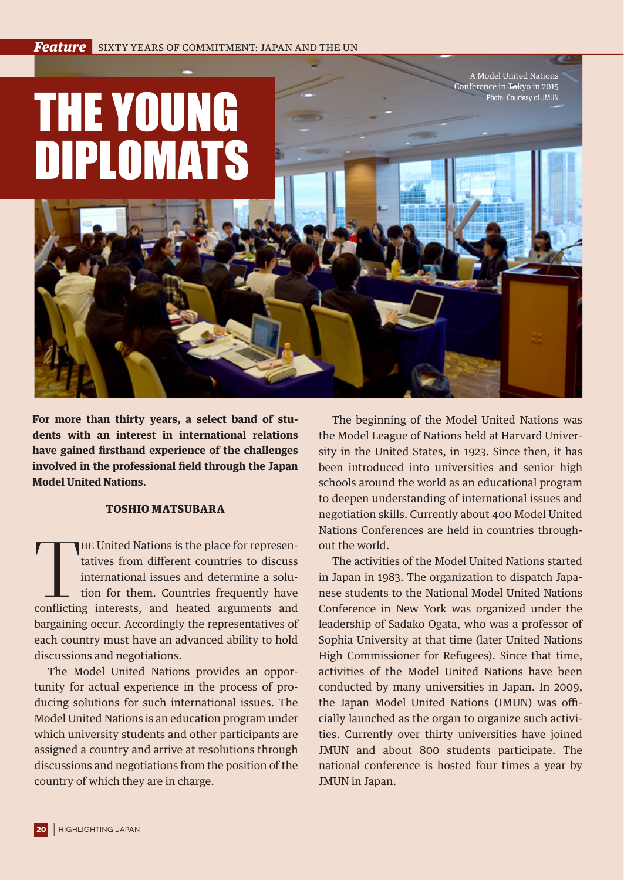## THE YOUNG DIPLOMATS

**For more than thirty years, a select band of students with an interest in international relations have gained firsthand experience of the challenges involved in the professional field through the Japan Model United Nations.**

## TOSHIO MATSUBARA

THE United Nations is the place for representatives from different countries to discuss international issues and determine a solution for them. Countries frequently have conflicting interests, and heated arguments and HE United Nations is the place for representatives from different countries to discuss international issues and determine a solution for them. Countries frequently have bargaining occur. Accordingly the representatives of each country must have an advanced ability to hold discussions and negotiations.

The Model United Nations provides an opportunity for actual experience in the process of producing solutions for such international issues. The Model United Nations is an education program under which university students and other participants are assigned a country and arrive at resolutions through discussions and negotiations from the position of the country of which they are in charge.

The beginning of the Model United Nations was the Model League of Nations held at Harvard University in the United States, in 1923. Since then, it has been introduced into universities and senior high schools around the world as an educational program to deepen understanding of international issues and negotiation skills. Currently about 400 Model United Nations Conferences are held in countries throughout the world.

A Model United Nations Conference in Tokyo in 2015 Photo: Courtesy of JMUN

The activities of the Model United Nations started in Japan in 1983. The organization to dispatch Japanese students to the National Model United Nations Conference in New York was organized under the leadership of Sadako Ogata, who was a professor of Sophia University at that time (later United Nations High Commissioner for Refugees). Since that time, activities of the Model United Nations have been conducted by many universities in Japan. In 2009, the Japan Model United Nations (JMUN) was officially launched as the organ to organize such activities. Currently over thirty universities have joined JMUN and about 800 students participate. The national conference is hosted four times a year by JMUN in Japan.